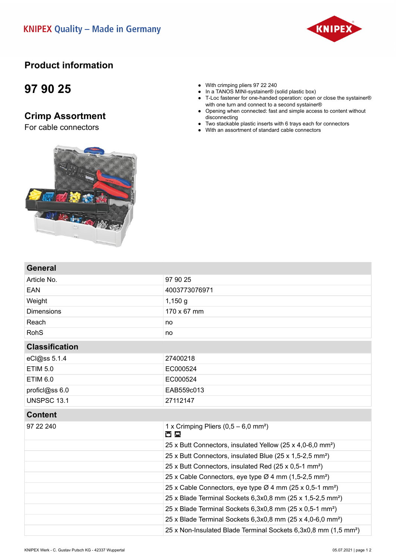#### **KNIPEX Quality - Made in Germany**



### **Product information**

## **97 90 25**

**General**

### **Crimp Assortment**

For cable connectors



- In a TANOS MINI-systainer<sup>®</sup> (solid plastic box)
- T-Loc fastener for one-handed operation: open or close the systainer® with one turn and connect to a second systainer®
- Opening when connected: fast and simple access to content without disconnecting
- Two stackable plastic inserts with 6 trays each for connectors
- With an assortment of standard cable connectors



Article No. 25

| EAN                   | 4003773076971                                                               |
|-----------------------|-----------------------------------------------------------------------------|
| Weight                | 1,150 g                                                                     |
| <b>Dimensions</b>     | 170 x 67 mm                                                                 |
| Reach                 | no                                                                          |
| <b>RohS</b>           | no                                                                          |
| <b>Classification</b> |                                                                             |
| eCl@ss 5.1.4          | 27400218                                                                    |
| <b>ETIM 5.0</b>       | EC000524                                                                    |
| <b>ETIM 6.0</b>       | EC000524                                                                    |
| proficl@ss 6.0        | EAB559c013                                                                  |
| <b>UNSPSC 13.1</b>    | 27112147                                                                    |
| <b>Content</b>        |                                                                             |
| 97 22 240             | 1 x Crimping Pliers $(0,5 - 6,0 \text{ mm}^2)$<br><b>ND</b>                 |
|                       | 25 x Butt Connectors, insulated Yellow (25 x 4,0-6,0 mm <sup>2</sup> )      |
|                       | 25 x Butt Connectors, insulated Blue (25 x 1,5-2,5 mm <sup>2</sup> )        |
|                       | 25 x Butt Connectors, insulated Red (25 x 0,5-1 mm <sup>2</sup> )           |
|                       | 25 x Cable Connectors, eye type Ø 4 mm (1,5-2,5 mm <sup>2</sup> )           |
|                       | 25 x Cable Connectors, eye type Ø 4 mm (25 x 0,5-1 mm <sup>2</sup> )        |
|                       | 25 x Blade Terminal Sockets 6,3x0,8 mm (25 x 1,5-2,5 mm <sup>2</sup> )      |
|                       | 25 x Blade Terminal Sockets 6,3x0,8 mm (25 x 0,5-1 mm <sup>2</sup> )        |
|                       | 25 x Blade Terminal Sockets 6,3x0,8 mm (25 x 4,0-6,0 mm <sup>2</sup> )      |
|                       | 25 x Non-Insulated Blade Terminal Sockets 6,3x0,8 mm (1,5 mm <sup>2</sup> ) |
|                       |                                                                             |